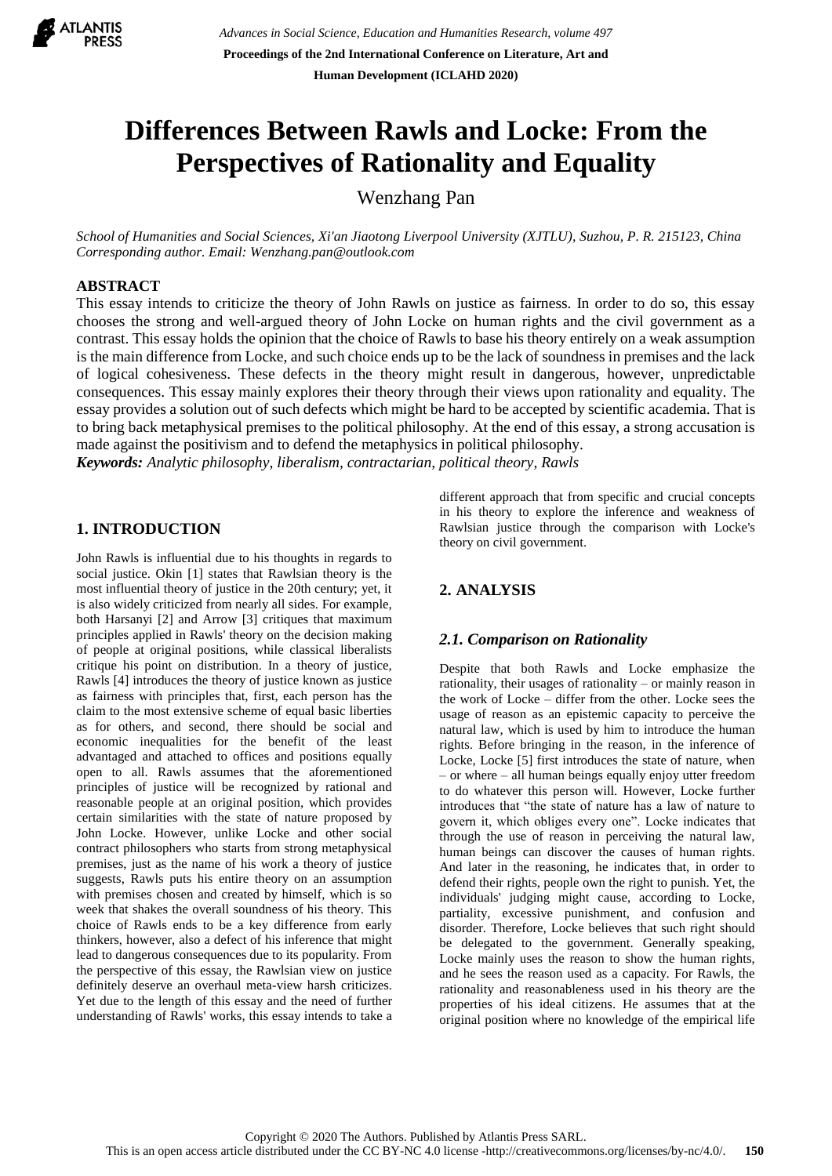

# **Differences Between Rawls and Locke: From the Perspectives of Rationality and Equality**

Wenzhang Pan

*School of Humanities and Social Sciences, Xi'an Jiaotong Liverpool University (XJTLU), Suzhou, P. R. 215123, China Corresponding author. Email: Wenzhang.pan@outlook.com*

# **ABSTRACT**

This essay intends to criticize the theory of John Rawls on justice as fairness. In order to do so, this essay chooses the strong and well-argued theory of John Locke on human rights and the civil government as a contrast. This essay holds the opinion that the choice of Rawls to base his theory entirely on a weak assumption is the main difference from Locke, and such choice ends up to be the lack of soundness in premises and the lack of logical cohesiveness. These defects in the theory might result in dangerous, however, unpredictable consequences. This essay mainly explores their theory through their views upon rationality and equality. The essay provides a solution out of such defects which might be hard to be accepted by scientific academia. That is to bring back metaphysical premises to the political philosophy. At the end of this essay, a strong accusation is made against the positivism and to defend the metaphysics in political philosophy.

*Keywords: Analytic philosophy, liberalism, contractarian, political theory, Rawls*

### **1. INTRODUCTION**

John Rawls is influential due to his thoughts in regards to social justice. Okin [1] states that Rawlsian theory is the most influential theory of justice in the 20th century; yet, it is also widely criticized from nearly all sides. For example, both Harsanyi [2] and Arrow [3] critiques that maximum principles applied in Rawls' theory on the decision making of people at original positions, while classical liberalists critique his point on distribution. In a theory of justice, Rawls [4] introduces the theory of justice known as justice as fairness with principles that, first, each person has the claim to the most extensive scheme of equal basic liberties as for others, and second, there should be social and economic inequalities for the benefit of the least advantaged and attached to offices and positions equally open to all. Rawls assumes that the aforementioned principles of justice will be recognized by rational and reasonable people at an original position, which provides certain similarities with the state of nature proposed by John Locke. However, unlike Locke and other social contract philosophers who starts from strong metaphysical premises, just as the name of his work a theory of justice suggests, Rawls puts his entire theory on an assumption with premises chosen and created by himself, which is so week that shakes the overall soundness of his theory. This choice of Rawls ends to be a key difference from early thinkers, however, also a defect of his inference that might lead to dangerous consequences due to its popularity. From the perspective of this essay, the Rawlsian view on justice definitely deserve an overhaul meta-view harsh criticizes. Yet due to the length of this essay and the need of further understanding of Rawls' works, this essay intends to take a different approach that from specific and crucial concepts in his theory to explore the inference and weakness of Rawlsian justice through the comparison with Locke's theory on civil government.

# **2. ANALYSIS**

#### *2.1. Comparison on Rationality*

Despite that both Rawls and Locke emphasize the rationality, their usages of rationality – or mainly reason in the work of Locke – differ from the other. Locke sees the usage of reason as an epistemic capacity to perceive the natural law, which is used by him to introduce the human rights. Before bringing in the reason, in the inference of Locke, Locke [5] first introduces the state of nature, when – or where – all human beings equally enjoy utter freedom to do whatever this person will. However, Locke further introduces that "the state of nature has a law of nature to govern it, which obliges every one". Locke indicates that through the use of reason in perceiving the natural law, human beings can discover the causes of human rights. And later in the reasoning, he indicates that, in order to defend their rights, people own the right to punish. Yet, the individuals' judging might cause, according to Locke, partiality, excessive punishment, and confusion and disorder. Therefore, Locke believes that such right should be delegated to the government. Generally speaking, Locke mainly uses the reason to show the human rights, and he sees the reason used as a capacity. For Rawls, the rationality and reasonableness used in his theory are the properties of his ideal citizens. He assumes that at the original position where no knowledge of the empirical life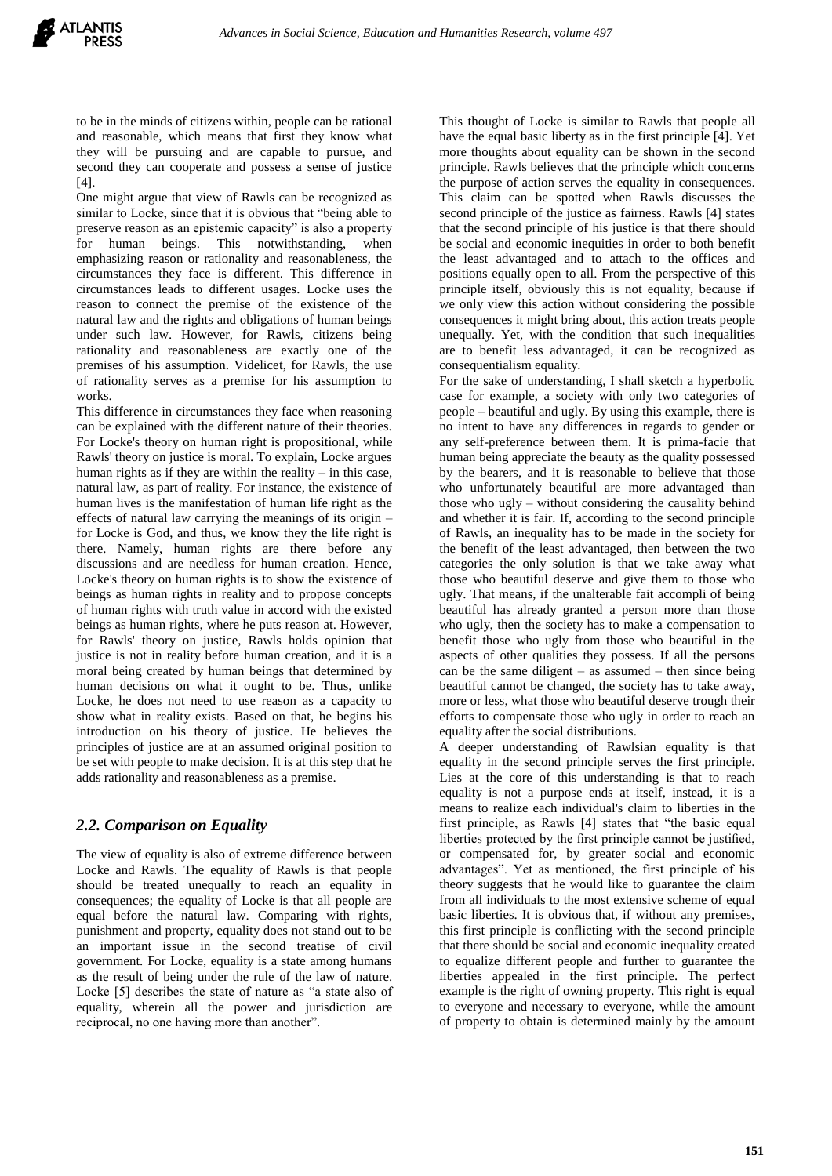to be in the minds of citizens within, people can be rational and reasonable, which means that first they know what they will be pursuing and are capable to pursue, and second they can cooperate and possess a sense of justice  $[4]$ .

One might argue that view of Rawls can be recognized as similar to Locke, since that it is obvious that "being able to preserve reason as an epistemic capacity" is also a property for human beings. This notwithstanding, when emphasizing reason or rationality and reasonableness, the circumstances they face is different. This difference in circumstances leads to different usages. Locke uses the reason to connect the premise of the existence of the natural law and the rights and obligations of human beings under such law. However, for Rawls, citizens being rationality and reasonableness are exactly one of the premises of his assumption. Videlicet, for Rawls, the use of rationality serves as a premise for his assumption to works.

This difference in circumstances they face when reasoning can be explained with the different nature of their theories. For Locke's theory on human right is propositional, while Rawls' theory on justice is moral. To explain, Locke argues human rights as if they are within the reality  $-$  in this case, natural law, as part of reality. For instance, the existence of human lives is the manifestation of human life right as the effects of natural law carrying the meanings of its origin – for Locke is God, and thus, we know they the life right is there. Namely, human rights are there before any discussions and are needless for human creation. Hence, Locke's theory on human rights is to show the existence of beings as human rights in reality and to propose concepts of human rights with truth value in accord with the existed beings as human rights, where he puts reason at. However, for Rawls' theory on justice, Rawls holds opinion that justice is not in reality before human creation, and it is a moral being created by human beings that determined by human decisions on what it ought to be. Thus, unlike Locke, he does not need to use reason as a capacity to show what in reality exists. Based on that, he begins his introduction on his theory of justice. He believes the principles of justice are at an assumed original position to be set with people to make decision. It is at this step that he adds rationality and reasonableness as a premise.

# *2.2. Comparison on Equality*

The view of equality is also of extreme difference between Locke and Rawls. The equality of Rawls is that people should be treated unequally to reach an equality in consequences; the equality of Locke is that all people are equal before the natural law. Comparing with rights, punishment and property, equality does not stand out to be an important issue in the second treatise of civil government. For Locke, equality is a state among humans as the result of being under the rule of the law of nature. Locke [5] describes the state of nature as "a state also of equality, wherein all the power and jurisdiction are reciprocal, no one having more than another".

This thought of Locke is similar to Rawls that people all have the equal basic liberty as in the first principle [4]. Yet more thoughts about equality can be shown in the second principle. Rawls believes that the principle which concerns the purpose of action serves the equality in consequences. This claim can be spotted when Rawls discusses the second principle of the justice as fairness. Rawls [4] states that the second principle of his justice is that there should be social and economic inequities in order to both benefit the least advantaged and to attach to the offices and positions equally open to all. From the perspective of this principle itself, obviously this is not equality, because if we only view this action without considering the possible consequences it might bring about, this action treats people unequally. Yet, with the condition that such inequalities are to benefit less advantaged, it can be recognized as consequentialism equality.

For the sake of understanding, I shall sketch a hyperbolic case for example, a society with only two categories of people – beautiful and ugly. By using this example, there is no intent to have any differences in regards to gender or any self-preference between them. It is prima-facie that human being appreciate the beauty as the quality possessed by the bearers, and it is reasonable to believe that those who unfortunately beautiful are more advantaged than those who ugly – without considering the causality behind and whether it is fair. If, according to the second principle of Rawls, an inequality has to be made in the society for the benefit of the least advantaged, then between the two categories the only solution is that we take away what those who beautiful deserve and give them to those who ugly. That means, if the unalterable fait accompli of being beautiful has already granted a person more than those who ugly, then the society has to make a compensation to benefit those who ugly from those who beautiful in the aspects of other qualities they possess. If all the persons can be the same diligent – as assumed – then since being beautiful cannot be changed, the society has to take away, more or less, what those who beautiful deserve trough their efforts to compensate those who ugly in order to reach an equality after the social distributions.

A deeper understanding of Rawlsian equality is that equality in the second principle serves the first principle. Lies at the core of this understanding is that to reach equality is not a purpose ends at itself, instead, it is a means to realize each individual's claim to liberties in the first principle, as Rawls [4] states that "the basic equal liberties protected by the first principle cannot be justified, or compensated for, by greater social and economic advantages". Yet as mentioned, the first principle of his theory suggests that he would like to guarantee the claim from all individuals to the most extensive scheme of equal basic liberties. It is obvious that, if without any premises, this first principle is conflicting with the second principle that there should be social and economic inequality created to equalize different people and further to guarantee the liberties appealed in the first principle. The perfect example is the right of owning property. This right is equal to everyone and necessary to everyone, while the amount of property to obtain is determined mainly by the amount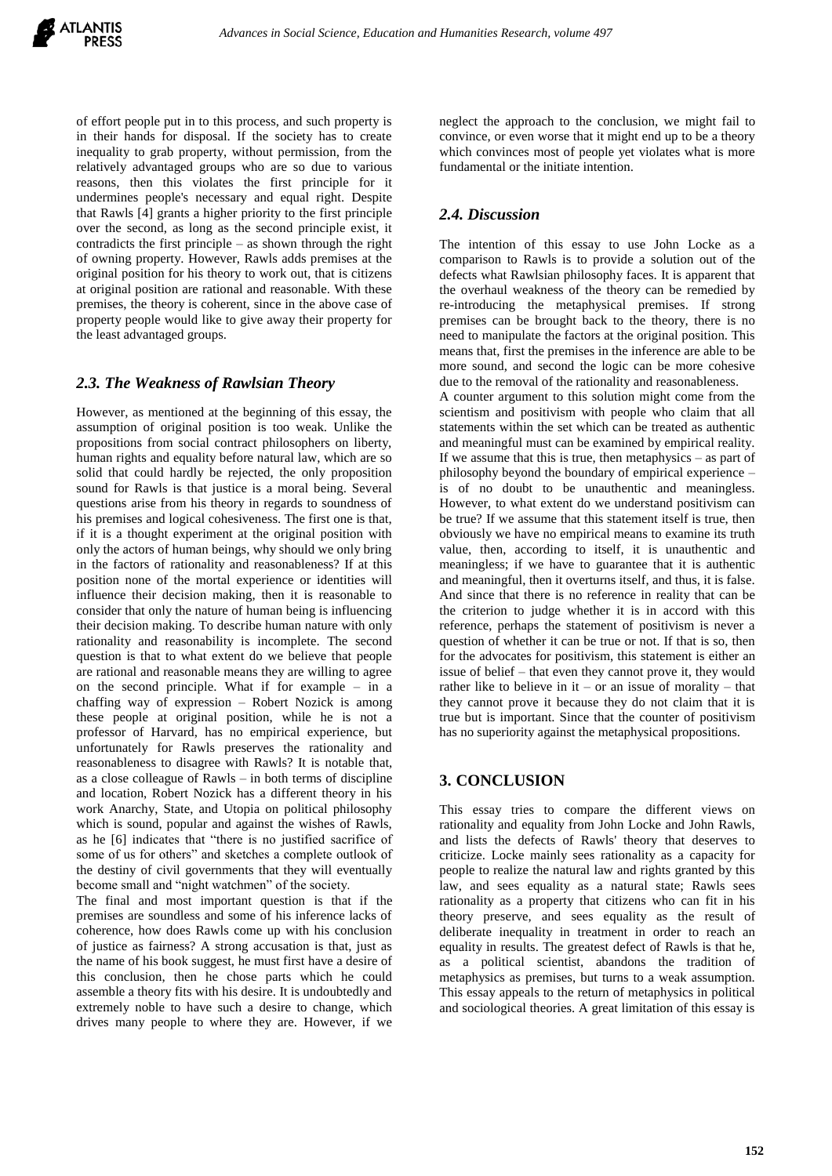

of effort people put in to this process, and such property is in their hands for disposal. If the society has to create inequality to grab property, without permission, from the relatively advantaged groups who are so due to various reasons, then this violates the first principle for it undermines people's necessary and equal right. Despite that Rawls [4] grants a higher priority to the first principle over the second, as long as the second principle exist, it contradicts the first principle – as shown through the right of owning property. However, Rawls adds premises at the original position for his theory to work out, that is citizens at original position are rational and reasonable. With these premises, the theory is coherent, since in the above case of property people would like to give away their property for the least advantaged groups.

#### *2.3. The Weakness of Rawlsian Theory*

However, as mentioned at the beginning of this essay, the assumption of original position is too weak. Unlike the propositions from social contract philosophers on liberty, human rights and equality before natural law, which are so solid that could hardly be rejected, the only proposition sound for Rawls is that justice is a moral being. Several questions arise from his theory in regards to soundness of his premises and logical cohesiveness. The first one is that, if it is a thought experiment at the original position with only the actors of human beings, why should we only bring in the factors of rationality and reasonableness? If at this position none of the mortal experience or identities will influence their decision making, then it is reasonable to consider that only the nature of human being is influencing their decision making. To describe human nature with only rationality and reasonability is incomplete. The second question is that to what extent do we believe that people are rational and reasonable means they are willing to agree on the second principle. What if for example – in a chaffing way of expression – Robert Nozick is among these people at original position, while he is not a professor of Harvard, has no empirical experience, but unfortunately for Rawls preserves the rationality and reasonableness to disagree with Rawls? It is notable that, as a close colleague of Rawls – in both terms of discipline and location, Robert Nozick has a different theory in his work Anarchy, State, and Utopia on political philosophy which is sound, popular and against the wishes of Rawls, as he [6] indicates that "there is no justified sacrifice of some of us for others" and sketches a complete outlook of the destiny of civil governments that they will eventually become small and "night watchmen" of the society.

The final and most important question is that if the premises are soundless and some of his inference lacks of coherence, how does Rawls come up with his conclusion of justice as fairness? A strong accusation is that, just as the name of his book suggest, he must first have a desire of this conclusion, then he chose parts which he could assemble a theory fits with his desire. It is undoubtedly and extremely noble to have such a desire to change, which drives many people to where they are. However, if we

neglect the approach to the conclusion, we might fail to convince, or even worse that it might end up to be a theory which convinces most of people yet violates what is more fundamental or the initiate intention.

## *2.4. Discussion*

The intention of this essay to use John Locke as a comparison to Rawls is to provide a solution out of the defects what Rawlsian philosophy faces. It is apparent that the overhaul weakness of the theory can be remedied by re-introducing the metaphysical premises. If strong premises can be brought back to the theory, there is no need to manipulate the factors at the original position. This means that, first the premises in the inference are able to be more sound, and second the logic can be more cohesive due to the removal of the rationality and reasonableness.

A counter argument to this solution might come from the scientism and positivism with people who claim that all statements within the set which can be treated as authentic and meaningful must can be examined by empirical reality. If we assume that this is true, then metaphysics  $-$  as part of philosophy beyond the boundary of empirical experience – is of no doubt to be unauthentic and meaningless. However, to what extent do we understand positivism can be true? If we assume that this statement itself is true, then obviously we have no empirical means to examine its truth value, then, according to itself, it is unauthentic and meaningless; if we have to guarantee that it is authentic and meaningful, then it overturns itself, and thus, it is false. And since that there is no reference in reality that can be the criterion to judge whether it is in accord with this reference, perhaps the statement of positivism is never a question of whether it can be true or not. If that is so, then for the advocates for positivism, this statement is either an issue of belief – that even they cannot prove it, they would rather like to believe in it – or an issue of morality – that they cannot prove it because they do not claim that it is true but is important. Since that the counter of positivism has no superiority against the metaphysical propositions.

# **3. CONCLUSION**

This essay tries to compare the different views on rationality and equality from John Locke and John Rawls, and lists the defects of Rawls' theory that deserves to criticize. Locke mainly sees rationality as a capacity for people to realize the natural law and rights granted by this law, and sees equality as a natural state; Rawls sees rationality as a property that citizens who can fit in his theory preserve, and sees equality as the result of deliberate inequality in treatment in order to reach an equality in results. The greatest defect of Rawls is that he, as a political scientist, abandons the tradition of metaphysics as premises, but turns to a weak assumption. This essay appeals to the return of metaphysics in political and sociological theories. A great limitation of this essay is